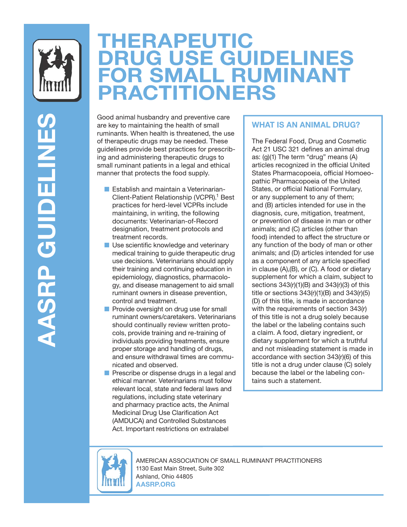

**AASRP GUIDELINES** 

**AASRP GUIDELINES** 

# **THERAPEUTIC DRUG USE GUIDELINES FOR SMALL RUMINANT PRACTITIONERS**

Good animal husbandry and preventive care are key to maintaining the health of small ruminants. When health is threatened, the use of therapeutic drugs may be needed. These guidelines provide best practices for prescribing and administering therapeutic drugs to small ruminant patients in a legal and ethical manner that protects the food supply.

- Establish and maintain a Veterinarian-Client-Patient Relationship (VCPR).<sup>1</sup> Best practices for herd-level VCPRs include maintaining, in writing, the following documents: Veterinarian-of-Record designation, treatment protocols and treatment records.
- Use scientific knowledge and veterinary medical training to guide therapeutic drug use decisions. Veterinarians should apply their training and continuing education in epidemiology, diagnostics, pharmacology, and disease management to aid small ruminant owners in disease prevention, control and treatment.
- Provide oversight on drug use for small ruminant owners/caretakers. Veterinarians should continually review written protocols, provide training and re-training of individuals providing treatments, ensure proper storage and handling of drugs, and ensure withdrawal times are communicated and observed.
- Prescribe or dispense drugs in a legal and ethical manner. Veterinarians must follow relevant local, state and federal laws and regulations, including state veterinary and pharmacy practice acts, the Animal Medicinal Drug Use Clarification Act (AMDUCA) and Controlled Substances Act. Important restrictions on extralabel

## **WHAT IS AN ANIMAL DRUG?**

The Federal Food, Drug and Cosmetic Act 21 USC 321 defines an animal drug as: (g)(1) The term "drug" means (A) articles recognized in the official United States Pharmacopoeia, official Homoeopathic Pharmacopoeia of the United States, or official National Formulary, or any supplement to any of them; and (B) articles intended for use in the diagnosis, cure, mitigation, treatment, or prevention of disease in man or other animals; and (C) articles (other than food) intended to affect the structure or any function of the body of man or other animals; and (D) articles intended for use as a component of any article specified in clause (A),(B), or (C). A food or dietary supplement for which a claim, subject to sections 343(r)(1)(B) and 343(r)(3) of this title or sections  $343(r)(1)(B)$  and  $343(r)(5)$ (D) of this title, is made in accordance with the requirements of section 343(r) of this title is not a drug solely because the label or the labeling contains such a claim. A food, dietary ingredient, or dietary supplement for which a truthful and not misleading statement is made in accordance with section 343(r)(6) of this title is not a drug under clause (C) solely because the label or the labeling contains such a statement.



AMERICAN ASSOCIATION OF SMALL RUMINANT PRACTITIONERS 1130 East Main Street, Suite 302 Ashland, Ohio 44805 **AASRP.ORG**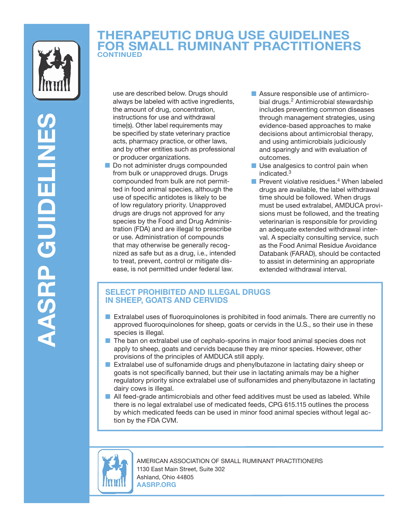

# **THERAPEUTIC DRUG USE GUIDELINES FOR SMALL RUMINANT PRACTITIONERS CONTINUED**

use are described below. Drugs should always be labeled with active ingredients, the amount of drug, concentration, instructions for use and withdrawal time(s). Other label requirements may be specified by state veterinary practice acts, pharmacy practice, or other laws, and by other entities such as professional or producer organizations.

- Do not administer drugs compounded from bulk or unapproved drugs. Drugs compounded from bulk are not permitted in food animal species, although the use of specific antidotes is likely to be of low regulatory priority. Unapproved drugs are drugs not approved for any species by the Food and Drug Administration (FDA) and are illegal to prescribe or use. Administration of compounds that may otherwise be generally recognized as safe but as a drug, i.e., intended to treat, prevent, control or mitigate disease, is not permitted under federal law.
- Assure responsible use of antimicrobial drugs.<sup>2</sup> Antimicrobial stewardship includes preventing common diseases through management strategies, using evidence-based approaches to make decisions about antimicrobial therapy, and using antimicrobials judiciously and sparingly and with evaluation of outcomes.
- Use analgesics to control pain when indicated.3
- **Prevent violative residues.**<sup>4</sup> When labeled drugs are available, the label withdrawal time should be followed. When drugs must be used extralabel, AMDUCA provisions must be followed, and the treating veterinarian is responsible for providing an adequate extended withdrawal interval. A specialty consulting service, such as the Food Animal Residue Avoidance Databank (FARAD), should be contacted to assist in determining an appropriate extended withdrawal interval.

## **SELECT PROHIBITED AND ILLEGAL DRUGS IN SHEEP, GOATS AND CERVIDS**

- Extralabel uses of fluoroquinolones is prohibited in food animals. There are currently no approved fluoroquinolones for sheep, goats or cervids in the U.S., so their use in these species is illegal.
- The ban on extralabel use of cephalo-sporins in major food animal species does not apply to sheep, goats and cervids because they are minor species. However, other provisions of the principles of AMDUCA still apply.
- Extralabel use of sulfonamide drugs and phenylbutazone in lactating dairy sheep or goats is not specifically banned, but their use in lactating animals may be a higher regulatory priority since extralabel use of sulfonamides and phenylbutazone in lactating dairy cows is illegal.
- All feed-grade antimicrobials and other feed additives must be used as labeled. While there is no legal extralabel use of medicated feeds, CPG 615.115 outlines the process by which medicated feeds can be used in minor food animal species without legal action by the FDA CVM.



AMERICAN ASSOCIATION OF SMALL RUMINANT PRACTITIONERS 1130 East Main Street, Suite 302 Ashland, Ohio 44805 **AASRP.ORG**